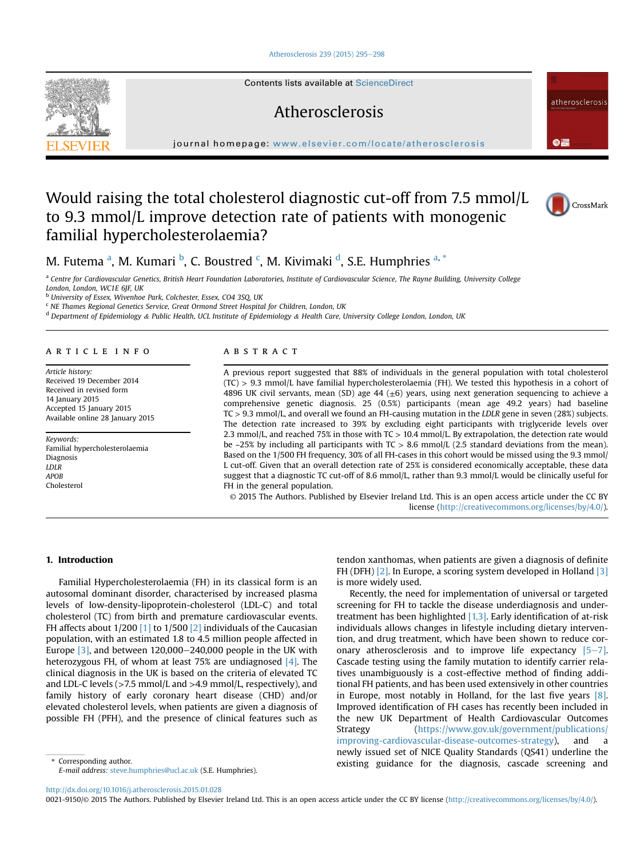#### [Atherosclerosis 239 \(2015\) 295](http://dx.doi.org/10.1016/j.atherosclerosis.2015.01.028)-[298](http://dx.doi.org/10.1016/j.atherosclerosis.2015.01.028)

Contents lists available at ScienceDirect

# Atherosclerosis

journal homepage: [www.elsevier.com/locate/atherosclerosis](http://www.elsevier.com/locate/atherosclerosis)

# Would raising the total cholesterol diagnostic cut-off from 7.5 mmol/L to 9.3 mmol/L improve detection rate of patients with monogenic familial hypercholesterolaemia?



 $\bullet$   $\bullet$ 

atherosclerosi:

# M. Futema <sup>a</sup>, M. Kumari <sup>b</sup>, C. Boustred <sup>c</sup>, M. Kivimaki <sup>d</sup>, S.E. Humphries <sup>a, \*</sup>

a Centre for Cardiovascular Genetics, British Heart Foundation Laboratories, Institute of Cardiovascular Science, The Rayne Building, University College London, London, WC1E 6JF, UK

<sup>b</sup> University of Essex, Wivenhoe Park, Colchester, Essex, CO4 3SQ, UK

 $c$  NE Thames Regional Genetics Service, Great Ormond Street Hospital for Children, London, UK

 $d$  Department of Epidemiology & Public Health, UCL Institute of Epidemiology & Health Care, University College London, London, UK

#### article info

Article history: Received 19 December 2014 Received in revised form 14 January 2015 Accepted 15 January 2015 Available online 28 January 2015

Keywords: Familial hypercholesterolaemia Diagnosis LDLR APOB Cholesterol

# ABSTRACT

A previous report suggested that 88% of individuals in the general population with total cholesterol (TC) > 9.3 mmol/L have familial hypercholesterolaemia (FH). We tested this hypothesis in a cohort of 4896 UK civil servants, mean (SD) age 44 ( $\pm$ 6) years, using next generation sequencing to achieve a comprehensive genetic diagnosis. 25 (0.5%) participants (mean age 49.2 years) had baseline TC > 9.3 mmol/L, and overall we found an FH-causing mutation in the LDLR gene in seven (28%) subjects. The detection rate increased to 39% by excluding eight participants with triglyceride levels over 2.3 mmol/L, and reached 75% in those with TC > 10.4 mmol/L. By extrapolation, the detection rate would be  $\sim$  25% by including all participants with TC  $> 8.6$  mmol/L (2.5 standard deviations from the mean). Based on the 1/500 FH frequency, 30% of all FH-cases in this cohort would be missed using the 9.3 mmol/ L cut-off. Given that an overall detection rate of 25% is considered economically acceptable, these data suggest that a diagnostic TC cut-off of 8.6 mmol/L, rather than 9.3 mmol/L would be clinically useful for FH in the general population.

© 2015 The Authors. Published by Elsevier Ireland Ltd. This is an open access article under the CC BY license [\(http://creativecommons.org/licenses/by/4.0/](http://creativecommons.org/licenses/by/4.�0/)).

# 1. Introduction

Familial Hypercholesterolaemia (FH) in its classical form is an autosomal dominant disorder, characterised by increased plasma levels of low-density-lipoprotein-cholesterol (LDL-C) and total cholesterol (TC) from birth and premature cardiovascular events. FH affects about  $1/200$  [\[1\]](#page-3-0) to  $1/500$  [\[2\]](#page-3-0) individuals of the Caucasian population, with an estimated 1.8 to 4.5 million people affected in Europe  $[3]$ , and between 120,000–240,000 people in the UK with heterozygous FH, of whom at least 75% are undiagnosed [\[4\].](#page-3-0) The clinical diagnosis in the UK is based on the criteria of elevated TC and LDL-C levels (>7.5 mmol/L and >4.9 mmol/L, respectively), and family history of early coronary heart disease (CHD) and/or elevated cholesterol levels, when patients are given a diagnosis of possible FH (PFH), and the presence of clinical features such as

E-mail address: [steve.humphries@ucl.ac.uk](mailto:steve.humphries@ucl.ac.uk) (S.E. Humphries).

tendon xanthomas, when patients are given a diagnosis of definite FH (DFH) [\[2\]](#page-3-0). In Europe, a scoring system developed in Holland [\[3\]](#page-3-0) is more widely used.

Recently, the need for implementation of universal or targeted screening for FH to tackle the disease underdiagnosis and undertreatment has been highlighted [\[1,3\].](#page-3-0) Early identification of at-risk individuals allows changes in lifestyle including dietary intervention, and drug treatment, which have been shown to reduce coronary atherosclerosis and to improve life expectancy  $[5-7]$  $[5-7]$ . Cascade testing using the family mutation to identify carrier relatives unambiguously is a cost-effective method of finding additional FH patients, and has been used extensively in other countries in Europe, most notably in Holland, for the last five years [\[8\].](#page-3-0) Improved identification of FH cases has recently been included in the new UK Department of Health Cardiovascular Outcomes Strategy ([https://www.gov.uk/government/publications/](https://www.gov.uk/government/publications/improving-cardiovascular-disease-outcomes-strategy) [improving-cardiovascular-disease-outcomes-strategy](https://www.gov.uk/government/publications/improving-cardiovascular-disease-outcomes-strategy)), and a newly issued set of NICE Quality Standards (QS41) underline the Corresponding author. The corresponding author. The corresponding author. The corresponding author. The diagnosis, cascade screening and

<http://dx.doi.org/10.1016/j.atherosclerosis.2015.01.028>

0021-9150/© 2015 The Authors. Published by Elsevier Ireland Ltd. This is an open access article under the CC BY license ([http://creativecommons.org/licenses/by/4.0/\)](http://creativecommons.org/licenses/by/4.�0/).

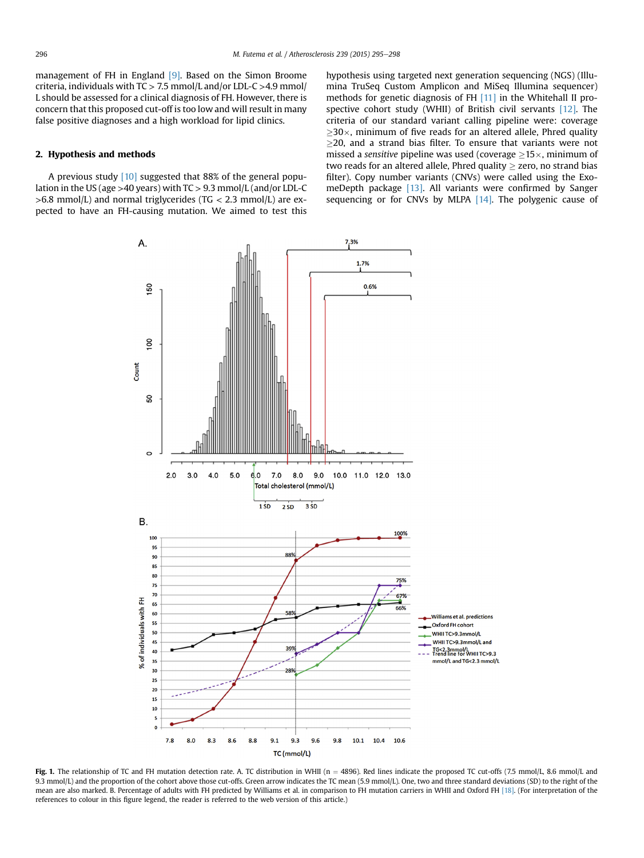<span id="page-1-0"></span>management of FH in England [\[9\].](#page-3-0) Based on the Simon Broome criteria, individuals with  $TC > 7.5$  mmol/L and/or LDL-C  $>4.9$  mmol/ L should be assessed for a clinical diagnosis of FH. However, there is concern that this proposed cut-off is too low and will result in many false positive diagnoses and a high workload for lipid clinics.

### 2. Hypothesis and methods

A previous study [\[10\]](#page-3-0) suggested that 88% of the general population in the US (age >40 years) with TC > 9.3 mmol/L (and/or LDL-C  $>6.8$  mmol/L) and normal triglycerides (TG < 2.3 mmol/L) are expected to have an FH-causing mutation. We aimed to test this hypothesis using targeted next generation sequencing (NGS) (Illumina TruSeq Custom Amplicon and MiSeq Illumina sequencer) methods for genetic diagnosis of FH [\[11\]](#page-3-0) in the Whitehall II prospective cohort study (WHII) of British civil servants [\[12\].](#page-3-0) The criteria of our standard variant calling pipeline were: coverage  $\geq$ 30 $\times$ , minimum of five reads for an altered allele, Phred quality  $>$ 20, and a strand bias filter. To ensure that variants were not missed a *sensitive* pipeline was used (coverage  $>15\times$ , minimum of two reads for an altered allele, Phred quality  $>$  zero, no strand bias filter). Copy number variants (CNVs) were called using the ExomeDepth package [\[13\]](#page-3-0). All variants were confirmed by Sanger sequencing or for CNVs by MLPA [\[14\].](#page-3-0) The polygenic cause of



Fig. 1. The relationship of TC and FH mutation detection rate. A. TC distribution in WHII (n = 4896). Red lines indicate the proposed TC cut-offs (7.5 mmol/L, 8.6 mmol/L and 9.3 mmol/L) and the proportion of the cohort above those cut-offs. Green arrow indicates the TC mean (5.9 mmol/L). One, two and three standard deviations (SD) to the right of the mean are also marked. B. Percentage of adults with FH predicted by Williams et al. in comparison to FH mutation carriers in WHII and Oxford FH [\[18\].](#page-3-0) (For interpretation of the references to colour in this figure legend, the reader is referred to the web version of this article.)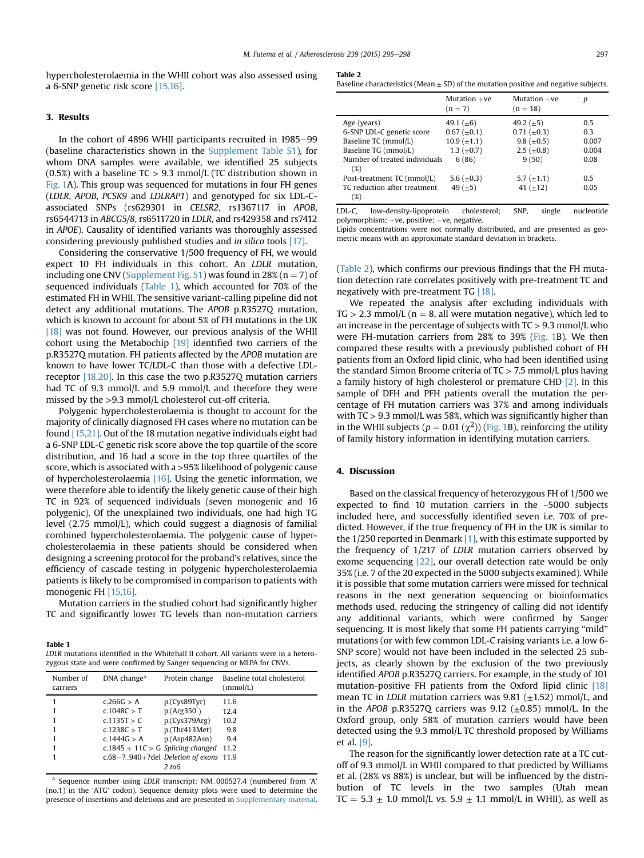hypercholesterolaemia in the WHII cohort was also assessed using a 6-SNP genetic risk score [\[15,16\]](#page-3-0).

# 3. Results

In the cohort of 4896 WHII participants recruited in 1985-99 (baseline characteristics shown in the Supplement Table S1), for whom DNA samples were available, we identified 25 subjects  $(0.5%)$  with a baseline TC  $> 9.3$  mmol/L (TC distribution shown in [Fig. 1](#page-1-0)A). This group was sequenced for mutations in four FH genes (LDLR, APOB, PCSK9 and LDLRAP1) and genotyped for six LDL-Cassociated SNPs (rs629301 in CELSR2, rs1367117 in APOB, rs6544713 in ABCG5/8, rs6511720 in LDLR, and rs429358 and rs7412 in APOE). Causality of identified variants was thoroughly assessed considering previously published studies and in silico tools [\[17\]](#page-3-0).

Considering the conservative 1/500 frequency of FH, we would expect 10 FH individuals in this cohort. An LDLR mutation, including one CNV (Supplement Fig. S1) was found in 28% (n = 7) of sequenced individuals (Table 1), which accounted for 70% of the estimated FH in WHII. The sensitive variant-calling pipeline did not detect any additional mutations. The APOB p.R3527Q mutation, which is known to account for about 5% of FH mutations in the UK [\[18\]](#page-3-0) was not found. However, our previous analysis of the WHII cohort using the Metabochip [\[19\]](#page-3-0) identified two carriers of the p.R3527Q mutation. FH patients affected by the APOB mutation are known to have lower TC/LDL-C than those with a defective LDLreceptor [\[18,20\]](#page-3-0). In this case the two p.R3527Q mutation carriers had TC of 9.3 mmol/L and 5.9 mmol/L and therefore they were missed by the >9.3 mmol/L cholesterol cut-off criteria.

Polygenic hypercholesterolaemia is thought to account for the majority of clinically diagnosed FH cases where no mutation can be found [\[15,21\]](#page-3-0). Out of the 18 mutation negative individuals eight had a 6-SNP LDL-C genetic risk score above the top quartile of the score distribution, and 16 had a score in the top three quartiles of the score, which is associated with a >95% likelihood of polygenic cause of hypercholesterolaemia [\[16\].](#page-3-0) Using the genetic information, we were therefore able to identify the likely genetic cause of their high TC in 92% of sequenced individuals (seven monogenic and 16 polygenic). Of the unexplained two individuals, one had high TG level (2.75 mmol/L), which could suggest a diagnosis of familial combined hypercholesterolaemia. The polygenic cause of hypercholesterolaemia in these patients should be considered when designing a screening protocol for the proband's relatives, since the efficiency of cascade testing in polygenic hypercholesterolaemia patients is likely to be compromised in comparison to patients with monogenic FH [\[15,16\].](#page-3-0)

Mutation carriers in the studied cohort had significantly higher TC and significantly lower TG levels than non-mutation carriers

Table 1

| LDLR mutations identified in the Whitehall II cohort. All variants were in a hetero- |  |
|--------------------------------------------------------------------------------------|--|
| zygous state and were confirmed by Sanger sequencing or MLPA for CNVs.               |  |

| Number of<br>carriers | DNA change <sup>a</sup>                       | Protein change | Baseline total cholesterol<br>(mmol/L) |
|-----------------------|-----------------------------------------------|----------------|----------------------------------------|
|                       | c.266G > A                                    | p(Cys89Tyr)    | 11.6                                   |
|                       | c.1048C > T                                   | $p.(Arg350^*)$ | 12.4                                   |
|                       | c.1135T > C                                   | p(Cys379Arg)   | 10.2                                   |
|                       | c.1238C > T                                   | p.(Thr413Met)  | 9.8                                    |
|                       | c.1444G > A                                   | p.(Asp482Asn)  | 9.4                                    |
|                       | c.1845 + 11C > G Splicing changed 11.2        |                |                                        |
|                       | $c.68 - ?_940 + ?$ del Deletion of exons 11.9 |                |                                        |
|                       |                                               | $2~{\rm to}6$  |                                        |

<sup>a</sup> Sequence number using LDLR transcript: NM\_000527.4 (numbered from 'A' (no.1) in the 'ATG' codon). Sequence density plots were used to determine the presence of insertions and deletions and are presented in Supplementary material.

| Baseline characteristics (Mean $\pm$ SD) of the mutation positive and negative subjects. |  |  |  |
|------------------------------------------------------------------------------------------|--|--|--|
|------------------------------------------------------------------------------------------|--|--|--|

|                                        | Mutation $+ve$<br>$(n = 7)$ | Mutation -ve<br>$(n = 18)$ | р     |
|----------------------------------------|-----------------------------|----------------------------|-------|
| Age (years)                            | 49.1 $(\pm 6)$              | 49.2 $(\pm 5)$             | 0.5   |
| 6-SNP LDL-C genetic score              | $0.67~(\pm 0.1)$            | $0.71~(\pm 0.3)$           | 0.3   |
| Baseline TC (mmol/L)                   | $10.9~(\pm 1.1)$            | 9.8 $(\pm 0.5)$            | 0.007 |
| Baseline TG (mmol/L)                   | 1.3 ( $\pm$ 0.7)            | $2.5 \ (\pm 0.8)$          | 0.004 |
| Number of treated individuals<br>(%)   | 6(86)                       | 9(50)                      | 0.08  |
| Post-treatment TC (mmol/L)             | 5.6 ( $\pm$ 0.3)            | 5.7 $(\pm 1.1)$            | 0.5   |
| TC reduction after treatment<br>$(\%)$ | 49 $(\pm 5)$                | 41 $(\pm 12)$              | 0.05  |

LDL-C, low-density-lipoprotein cholesterol; SNP, single nucleotide polymorphism; +ve, positive; -ve, negative.

Lipids concentrations were not normally distributed, and are presented as geometric means with an approximate standard deviation in brackets.

(Table 2), which confirms our previous findings that the FH mutation detection rate correlates positively with pre-treatment TC and negatively with pre-treatment TG [\[18\].](#page-3-0)

We repeated the analysis after excluding individuals with  $TG > 2.3$  mmol/L ( $n = 8$ , all were mutation negative), which led to an increase in the percentage of subjects with  $TC > 9.3$  mmol/L who were FH-mutation carriers from 28% to 39% ([Fig. 1B](#page-1-0)). We then compared these results with a previously published cohort of FH patients from an Oxford lipid clinic, who had been identified using the standard Simon Broome criteria of TC > 7.5 mmol/L plus having a family history of high cholesterol or premature CHD [\[2\]](#page-3-0). In this sample of DFH and PFH patients overall the mutation the percentage of FH mutation carriers was 37% and among individuals with  $TC > 9.3$  mmol/L was 58%, which was significantly higher than in the WHII subjects ( $p = 0.01 \, (\chi^2)$ ) [\(Fig. 1B](#page-1-0)), reinforcing the utility of family history information in identifying mutation carriers.

#### 4. Discussion

Based on the classical frequency of heterozygous FH of 1/500 we expected to find 10 mutation carriers in the ~5000 subjects included here, and successfully identified seven i.e. 70% of predicted. However, if the true frequency of FH in the UK is similar to the  $1/250$  reported in Denmark  $[1]$ , with this estimate supported by the frequency of 1/217 of LDLR mutation carriers observed by exome sequencing [\[22\],](#page-3-0) our overall detection rate would be only 35% (i.e. 7 of the 20 expected in the 5000 subjects examined). While it is possible that some mutation carriers were missed for technical reasons in the next generation sequencing or bioinformatics methods used, reducing the stringency of calling did not identify any additional variants, which were confirmed by Sanger sequencing. It is most likely that some FH patients carrying "mild" mutations (or with few common LDL-C raising variants i.e. a low 6- SNP score) would not have been included in the selected 25 subjects, as clearly shown by the exclusion of the two previously identified APOB p.R3527Q carriers. For example, in the study of 101 mutation-positive FH patients from the Oxford lipid clinic [\[18\]](#page-3-0) mean TC in *LDLR* mutation carriers was  $9.81$  ( $\pm$ 1.52) mmol/L, and in the APOB p.R3527Q carriers was  $9.12$  ( $\pm$ 0.85) mmol/L. In the Oxford group, only 58% of mutation carriers would have been detected using the 9.3 mmol/L TC threshold proposed by Williams et al. [\[9\].](#page-3-0)

The reason for the significantly lower detection rate at a TC cutoff of 9.3 mmol/L in WHII compared to that predicted by Williams et al. (28% vs 88%) is unclear, but will be influenced by the distribution of TC levels in the two samples (Utah mean TC =  $5.3 \pm 1.0$  mmol/L vs.  $5.9 \pm 1.1$  mmol/L in WHII), as well as